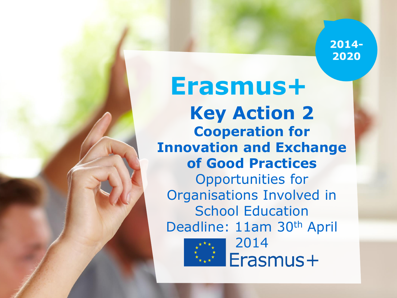2014-2020

**Erasmus+ Key Action 2 Cooperation for Innovation and Exchange of Good Practices**  Opportunities for Organisations Involved in **School Education** Deadline: 11am 30th April



2014Erasmus+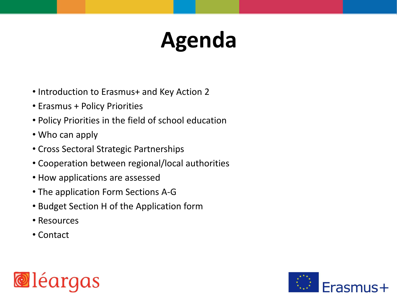# **Agenda**

- Introduction to Erasmus+ and Key Action 2
- Erasmus + Policy Priorities
- Policy Priorities in the field of school education
- Who can apply
- Cross Sectoral Strategic Partnerships
- Cooperation between regional/local authorities
- How applications are assessed
- The application Form Sections A-G
- Budget Section H of the Application form
- Resources
- Contact



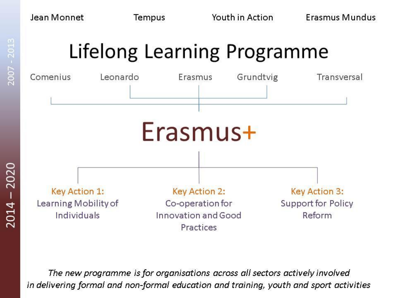2007 - 2013



The new programme is for organisations across all sectors actively involved in delivering formal and non-formal education and training, youth and sport activities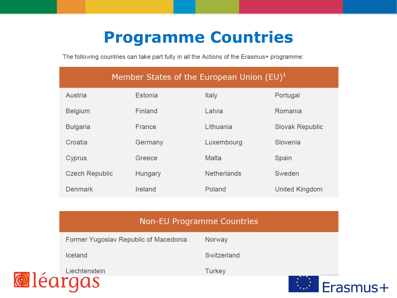### **Programme Countries**

The following countries can take part fully in all the Actions of the Erasmus+ programme:

|                       | Member States of the European Union $(EU)^1$ |                    |                        |
|-----------------------|----------------------------------------------|--------------------|------------------------|
| Austria               | Estonia                                      | <b>Italy</b>       | Portugal               |
| <b>Belgium</b>        | Finland                                      | Latvia             | Romania                |
| <b>Bulgaria</b>       | France                                       | Lithuania          | <b>Slovak Republic</b> |
| Croatia               | Germany                                      | Luxembourg         | Slovenia               |
| Cyprus                | Greece                                       | Malta              | Spain                  |
| <b>Czech Republic</b> | Hungary                                      | <b>Netherlands</b> | Sweden                 |
| <b>Denmark</b>        | Ireland                                      | Poland             | United Kingdom         |

|                                       | <b>Non-EU Programme Countries</b> |          |
|---------------------------------------|-----------------------------------|----------|
| Former Yugoslav Republic of Macedonia | Norway                            |          |
| Iceland                               | Switzerland                       |          |
| Liechtenstein                         | <b>Turkey</b>                     |          |
| léargas                               |                                   | Erasmus+ |

 $\odot$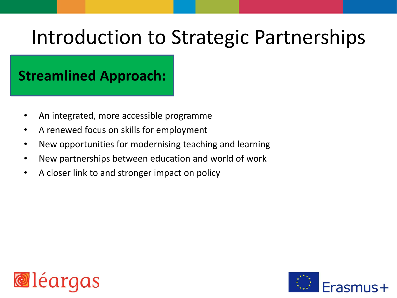#### $\frac{1}{2}$ **Streamlined Approach:**

- An integrated, more accessible programme
- A renewed focus on skills for employment
- New opportunities for modernising teaching and learning
- New partnerships between education and world of work
- A closer link to and stronger impact on policy



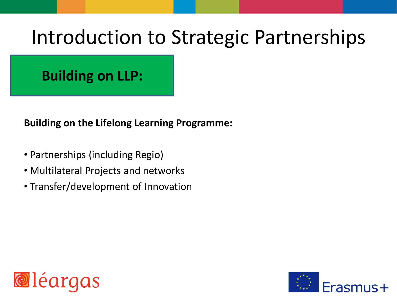#### **Building on LLP:**

**Building on the Lifelong Learning Programme:**

- Partnerships (including Regio)
- Multilateral Projects and networks
- Transfer/development of Innovation



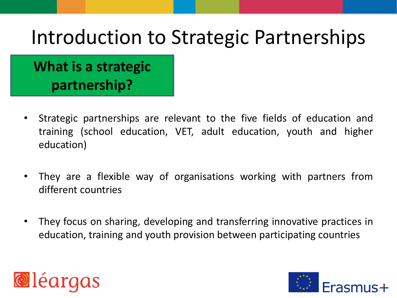### **What is a strategic partnership?**

- Strategic partnerships are relevant to the five fields of education and training (school education, VET, adult education, youth and higher education)
- They are a flexible way of organisations working with partners from different countries
- They focus on sharing, developing and transferring innovative practices in education, training and youth provision between participating countries



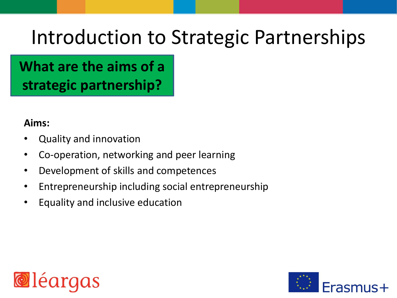**What are the aims of a strategic partnership?**

#### **Aims:**

- Quality and innovation
- Co-operation, networking and peer learning
- Development of skills and competences
- Entrepreneurship including social entrepreneurship
- Equality and inclusive education



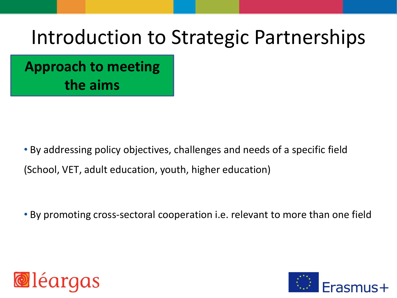**Approach to meeting the aims**

• By addressing policy objectives, challenges and needs of a specific field (School, VET, adult education, youth, higher education)

• By promoting cross-sectoral cooperation i.e. relevant to more than one field



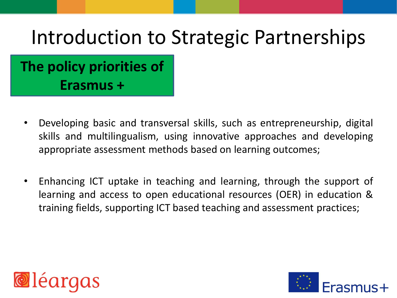### **The policy priorities of Erasmus +**

- Developing basic and transversal skills, such as entrepreneurship, digital skills and multilingualism, using innovative approaches and developing appropriate assessment methods based on learning outcomes;
- Enhancing ICT uptake in teaching and learning, through the support of learning and access to open educational resources (OER) in education & training fields, supporting ICT based teaching and assessment practices;



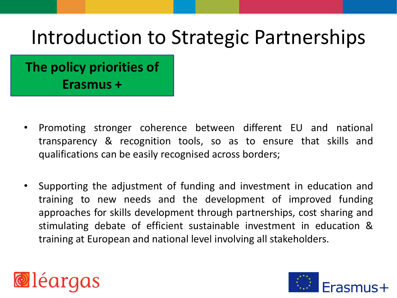**The policy priorities of Erasmus +**

- Promoting stronger coherence between different EU and national transparency & recognition tools, so as to ensure that skills and qualifications can be easily recognised across borders;
- Supporting the adjustment of funding and investment in education and training to new needs and the development of improved funding approaches for skills development through partnerships, cost sharing and stimulating debate of efficient sustainable investment in education & training at European and national level involving all stakeholders.



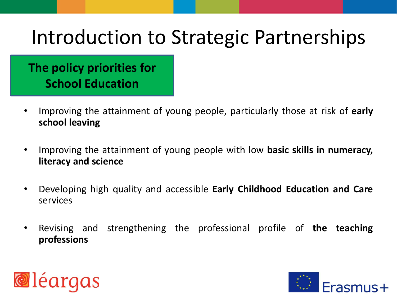#### **The policy priorities for School Education**

- Improving the attainment of young people, particularly those at risk of **early school leaving**
- Improving the attainment of young people with low **basic skills in numeracy, literacy and science**
- Developing high quality and accessible **Early Childhood Education and Care** services
- Revising and strengthening the professional profile of **the teaching professions**



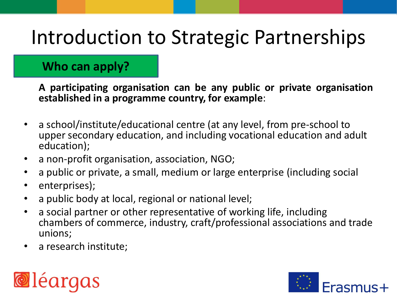#### **Who can apply?**

**A participating organisation can be any public or private organisation established in a programme country, for example**:

- a school/institute/educational centre (at any level, from pre-school to upper secondary education, and including vocational education and adult education);
- a non-profit organisation, association, NGO;
- a public or private, a small, medium or large enterprise (including social
- enterprises);
- a public body at local, regional or national level;
- a social partner or other representative of working life, including chambers of commerce, industry, craft/professional associations and trade unions;
- a research institute;



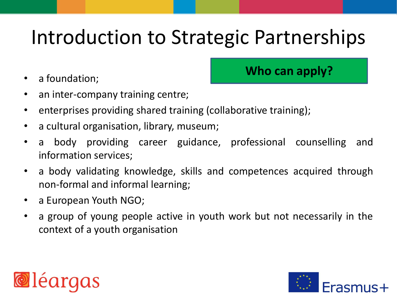• a foundation;

**Who can apply?**

- an inter-company training centre;
- enterprises providing shared training (collaborative training);
- a cultural organisation, library, museum;
- a body providing career guidance, professional counselling and information services;
- a body validating knowledge, skills and competences acquired through non-formal and informal learning;
- a European Youth NGO;
- a group of young people active in youth work but not necessarily in the context of a youth organisation



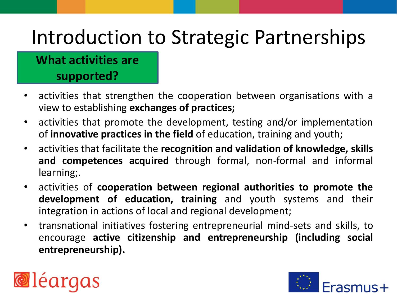#### **What activities are supported?**

- activities that strengthen the cooperation between organisations with a view to establishing **exchanges of practices;**
- activities that promote the development, testing and/or implementation of **innovative practices in the field** of education, training and youth;
- activities that facilitate the **recognition and validation of knowledge, skills and competences acquired** through formal, non-formal and informal learning;.
- activities of **cooperation between regional authorities to promote the development of education, training** and youth systems and their integration in actions of local and regional development;
- transnational initiatives fostering entrepreneurial mind-sets and skills, to encourage **active citizenship and entrepreneurship (including social entrepreneurship).**



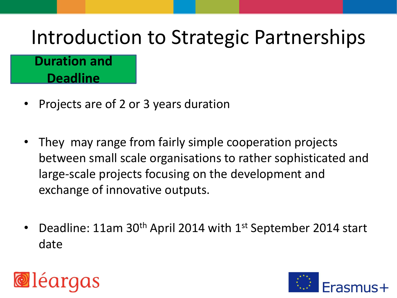#### **Duration and Deadline**

- Projects are of 2 or 3 years duration
- They may range from fairly simple cooperation projects between small scale organisations to rather sophisticated and large-scale projects focusing on the development and exchange of innovative outputs.
- Deadline: 11am 30th April 2014 with 1st September 2014 start date



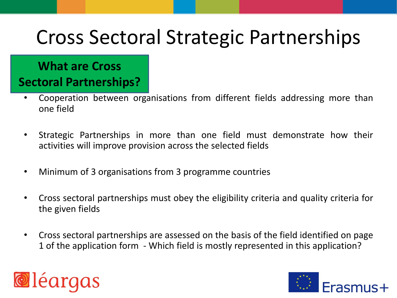#### **What are Cross Sectoral Partnerships?**

- Cooperation between organisations from different fields addressing more than one field
- Strategic Partnerships in more than one field must demonstrate how their activities will improve provision across the selected fields
- Minimum of 3 organisations from 3 programme countries
- Cross sectoral partnerships must obey the eligibility criteria and quality criteria for the given fields
- Cross sectoral partnerships are assessed on the basis of the field identified on page 1 of the application form - Which field is mostly represented in this application?



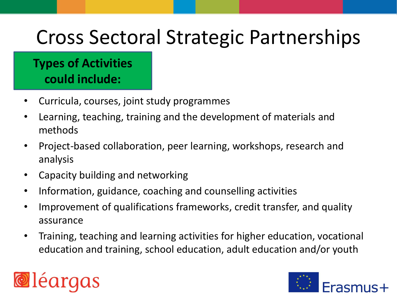#### **Types of Activities could include:**

- Curricula, courses, joint study programmes
- Learning, teaching, training and the development of materials and methods
- Project-based collaboration, peer learning, workshops, research and analysis
- Capacity building and networking
- Information, guidance, coaching and counselling activities
- Improvement of qualifications frameworks, credit transfer, and quality assurance
- Training, teaching and learning activities for higher education, vocational education and training, school education, adult education and/or youth



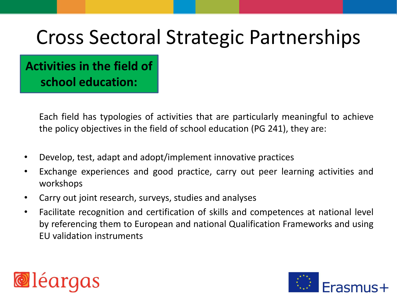**Activities in the field of school education:**

> Each field has typologies of activities that are particularly meaningful to achieve the policy objectives in the field of school education (PG 241), they are:

- Develop, test, adapt and adopt/implement innovative practices
- Exchange experiences and good practice, carry out peer learning activities and workshops
- Carry out joint research, surveys, studies and analyses
- Facilitate recognition and certification of skills and competences at national level by referencing them to European and national Qualification Frameworks and using EU validation instruments



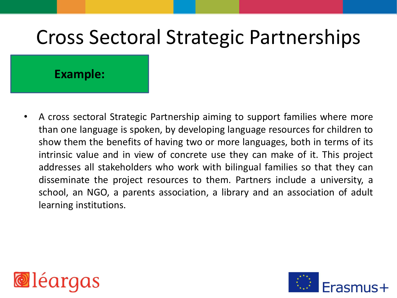#### **Example:**

• A cross sectoral Strategic Partnership aiming to support families where more than one language is spoken, by developing language resources for children to show them the benefits of having two or more languages, both in terms of its intrinsic value and in view of concrete use they can make of it. This project addresses all stakeholders who work with bilingual families so that they can disseminate the project resources to them. Partners include a university, a school, an NGO, a parents association, a library and an association of adult learning institutions.



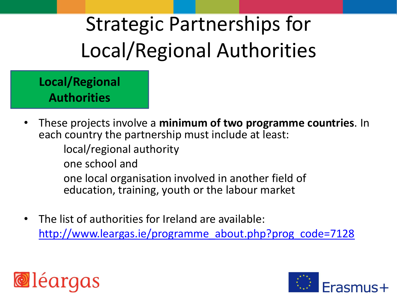**Local/Regional Authorities**

• These projects involve a **minimum of two programme countries**. In each country the partnership must include at least:

local/regional authority

one school and

one local organisation involved in another field of education, training, youth or the labour market

• The list of authorities for Ireland are available: [http://www.leargas.ie/programme\\_about.php?prog\\_code=7128](http://www.leargas.ie/programme_about.php?prog_code=7128)



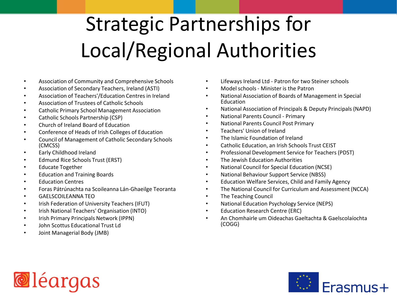- Association of Community and Comprehensive Schools
- Association of Secondary Teachers, Ireland (ASTI)
- Association of Teachers'/Education Centres in Ireland
- Association of Trustees of Catholic Schools
- Catholic Primary School Management Association
- Catholic Schools Partnership (CSP)
- Church of Ireland Board of Education
- Conference of Heads of Irish Colleges of Education
- Council of Management of Catholic Secondary Schools (CMCSS)
- Early Childhood Ireland
- Edmund Rice Schools Trust (ERST)
- Educate Together
- Education and Training Boards
- Education Centres
- Foras Pátrúnachta na Scoileanna Lán-Ghaeilge Teoranta
- GAELSCOILEANNA TEO
- Irish Federation of University Teachers (IFUT)
- Irish National Teachers' Organisation (INTO)
- Irish Primary Principals Network (IPPN)
- John Scottus Educational Trust Ld
- Joint Managerial Body (JMB)
- Lifeways Ireland Ltd Patron for two Steiner schools
- Model schools Minister is the Patron
- National Association of Boards of Management in Special Education
- National Association of Principals & Deputy Principals (NAPD)
- National Parents Council Primary
- National Parents Council Post Primary
- Teachers' Union of Ireland
- The Islamic Foundation of Ireland
- Catholic Education, an Irish Schools Trust CEIST
- Professional Development Service for Teachers (PDST)
- The Jewish Education Authorities
- National Council for Special Education (NCSE)
- National Behaviour Support Service (NBSS)
- Education Welfare Services, Child and Family Agency
- The National Council for Curriculum and Assessment (NCCA)
- The Teaching Council
- National Education Psychology Service (NEPS)
- Education Research Centre (ERC)
- An Chomhairle um Oideachas Gaeltachta & Gaelscolaíochta (COGG)



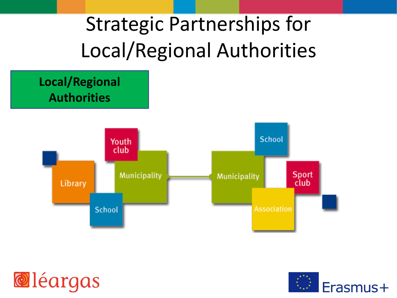



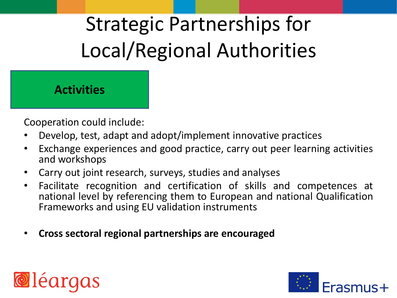#### **Activities**

Cooperation could include:

- Develop, test, adapt and adopt/implement innovative practices
- Exchange experiences and good practice, carry out peer learning activities and workshops
- Carry out joint research, surveys, studies and analyses
- Facilitate recognition and certification of skills and competences at national level by referencing them to European and national Qualification Frameworks and using EU validation instruments
- **Cross sectoral regional partnerships are encouraged**



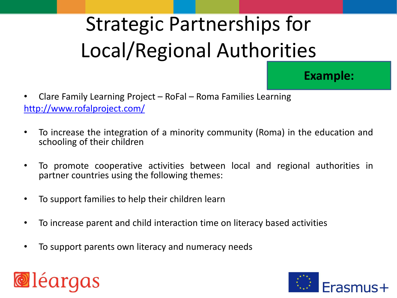**Example:** 

- Clare Family Learning Project RoFal Roma Families Learning <http://www.rofalproject.com/>
- To increase the integration of a minority community (Roma) in the education and schooling of their children
- To promote cooperative activities between local and regional authorities in partner countries using the following themes:
- To support families to help their children learn
- To increase parent and child interaction time on literacy based activities
- To support parents own literacy and numeracy needs



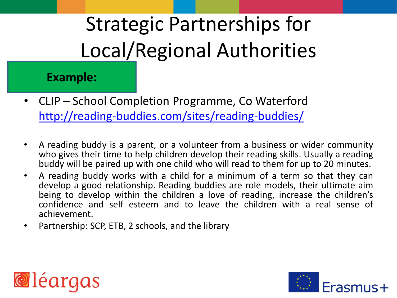#### **Example:**

- CLIP School Completion Programme, Co Waterford <http://reading-buddies.com/sites/reading-buddies/>
- A reading buddy is a parent, or a volunteer from a business or wider community who gives their time to help children develop their reading skills. Usually a reading buddy will be paired up with one child who will read to them for up to 20 minutes.
- A reading buddy works with a child for a minimum of a term so that they can develop a good relationship. Reading buddies are role models, their ultimate aim being to develop within the children a love of reading, increase the children's confidence and self esteem and to leave the children with a real sense of achievement.
- Partnership: SCP, ETB, 2 schools, and the library



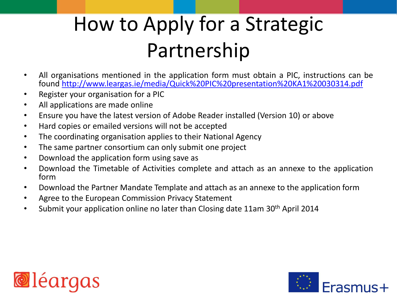### How to Apply for a Strategic Partnership

- All organisations mentioned in the application form must obtain a PIC, instructions can be found [http://www.leargas.ie/media/Quick%20PIC%20presentation%20KA1%20030314.pdf](http://www.leargas.ie/media/Quick PIC presentation KA1 030314.pdf)
- Register your organisation for a PIC
- All applications are made online
- Ensure you have the latest version of Adobe Reader installed (Version 10) or above
- Hard copies or emailed versions will not be accepted
- The coordinating organisation applies to their National Agency
- The same partner consortium can only submit one project
- Download the application form using save as
- Download the Timetable of Activities complete and attach as an annexe to the application form
- Download the Partner Mandate Template and attach as an annexe to the application form
- Agree to the European Commission Privacy Statement
- Submit your application online no later than Closing date 11am 30<sup>th</sup> April 2014



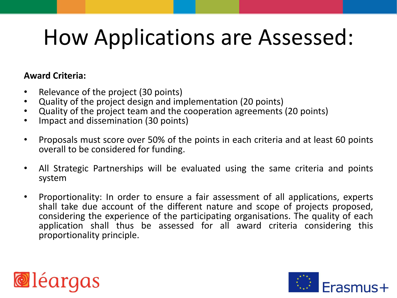#### **Award Criteria:**

- Relevance of the project (30 points)
- Quality of the project design and implementation (20 points)
- Quality of the project team and the cooperation agreements (20 points)
- Impact and dissemination (30 points)
- Proposals must score over 50% of the points in each criteria and at least 60 points overall to be considered for funding.
- All Strategic Partnerships will be evaluated using the same criteria and points system
- Proportionality: In order to ensure a fair assessment of all applications, experts shall take due account of the different nature and scope of projects proposed, considering the experience of the participating organisations. The quality of each application shall thus be assessed for all award criteria considering this proportionality principle.



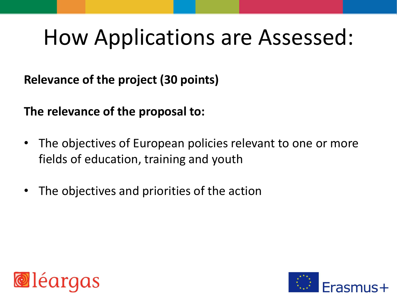**Relevance of the project (30 points)**

**The relevance of the proposal to:**

- The objectives of European policies relevant to one or more fields of education, training and youth
- The objectives and priorities of the action



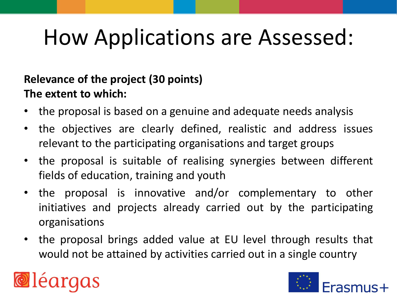#### **Relevance of the project (30 points) The extent to which:**

- the proposal is based on a genuine and adequate needs analysis
- the objectives are clearly defined, realistic and address issues relevant to the participating organisations and target groups
- the proposal is suitable of realising synergies between different fields of education, training and youth
- the proposal is innovative and/or complementary to other initiatives and projects already carried out by the participating organisations
- the proposal brings added value at EU level through results that would not be attained by activities carried out in a single country



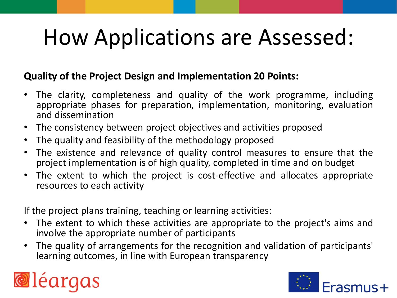#### **Quality of the Project Design and Implementation 20 Points:**

- The clarity, completeness and quality of the work programme, including appropriate phases for preparation, implementation, monitoring, evaluation and dissemination
- The consistency between project objectives and activities proposed
- The quality and feasibility of the methodology proposed
- The existence and relevance of quality control measures to ensure that the project implementation is of high quality, completed in time and on budget
- The extent to which the project is cost-effective and allocates appropriate resources to each activity

If the project plans training, teaching or learning activities:

- The extent to which these activities are appropriate to the project's aims and involve the appropriate number of participants
- The quality of arrangements for the recognition and validation of participants' learning outcomes, in line with European transparency



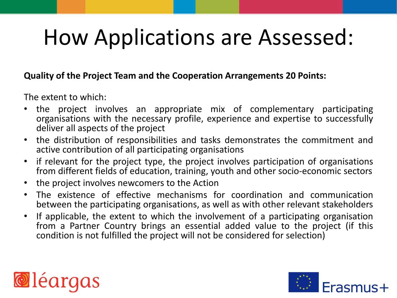#### **Quality of the Project Team and the Cooperation Arrangements 20 Points:**

The extent to which:

- the project involves an appropriate mix of complementary participating organisations with the necessary profile, experience and expertise to successfully deliver all aspects of the project
- the distribution of responsibilities and tasks demonstrates the commitment and active contribution of all participating organisations
- if relevant for the project type, the project involves participation of organisations from different fields of education, training, youth and other socio-economic sectors
- the project involves newcomers to the Action
- The existence of effective mechanisms for coordination and communication between the participating organisations, as well as with other relevant stakeholders
- If applicable, the extent to which the involvement of a participating organisation from a Partner Country brings an essential added value to the project (if this condition is not fulfilled the project will not be considered for selection)



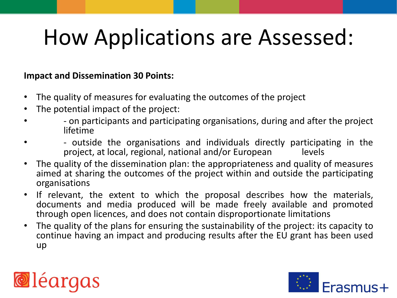#### **Impact and Dissemination 30 Points:**

- The quality of measures for evaluating the outcomes of the project
- The potential impact of the project:
- - on participants and participating organisations, during and after the project lifetime
- The outside the organisations and individuals directly participating in the example original participation or the project, at local, regional, national and/or Furopean project, at local, regional, national and/or European
- The quality of the dissemination plan: the appropriateness and quality of measures aimed at sharing the outcomes of the project within and outside the participating organisations
- If relevant, the extent to which the proposal describes how the materials, documents and media produced will be made freely available and promoted through open licences, and does not contain disproportionate limitations
- The quality of the plans for ensuring the sustainability of the project: its capacity to continue having an impact and producing results after the EU grant has been used up



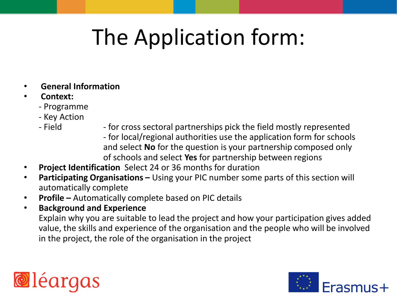- **General Information**
- **Context:**
	- Programme
	- Key Action
	-
	- Field for cross sectoral partnerships pick the field mostly represented - for local/regional authorities use the application form for schools and select **No** for the question is your partnership composed only of schools and select **Yes** for partnership between regions
- **Project Identification** Select 24 or 36 months for duration
- **Participating Organisations –** Using your PIC number some parts of this section will automatically complete
- **Profile –** Automatically complete based on PIC details
- **Background and Experience**  Explain why you are suitable to lead the project and how your participation gives added value, the skills and experience of the organisation and the people who will be involved in the project, the role of the organisation in the project



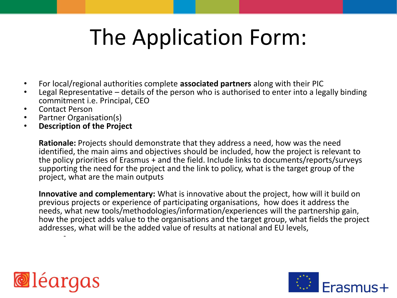- For local/regional authorities complete **associated partners** along with their PIC
- Legal Representative details of the person who is authorised to enter into a legally binding commitment i.e. Principal, CEO
- Contact Person
- Partner Organisation(s)
- **Description of the Project**

**Rationale:** Projects should demonstrate that they address a need, how was the need identified, the main aims and objectives should be included, how the project is relevant to the policy priorities of Erasmus + and the field. Include links to documents/reports/surveys supporting the need for the project and the link to policy, what is the target group of the project, what are the main outputs

**Innovative and complementary:** What is innovative about the project, how will it build on previous projects or experience of participating organisations, how does it address the needs, what new tools/methodologies/information/experiences will the partnership gain, how the project adds value to the organisations and the target group, what fields the project addresses, what will be the added value of results at national and EU levels, -



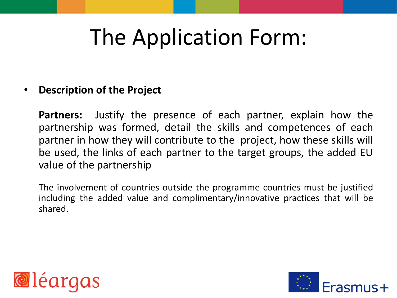#### • **Description of the Project**

**Partners:** Justify the presence of each partner, explain how the partnership was formed, detail the skills and competences of each partner in how they will contribute to the project, how these skills will be used, the links of each partner to the target groups, the added EU value of the partnership

The involvement of countries outside the programme countries must be justified including the added value and complimentary/innovative practices that will be shared.



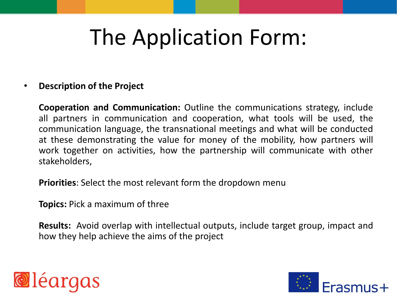#### • **Description of the Project**

**Cooperation and Communication:** Outline the communications strategy, include all partners in communication and cooperation, what tools will be used, the communication language, the transnational meetings and what will be conducted at these demonstrating the value for money of the mobility, how partners will work together on activities, how the partnership will communicate with other stakeholders,

**Priorities**: Select the most relevant form the dropdown menu

**Topics:** Pick a maximum of three

**Results:** Avoid overlap with intellectual outputs, include target group, impact and how they help achieve the aims of the project



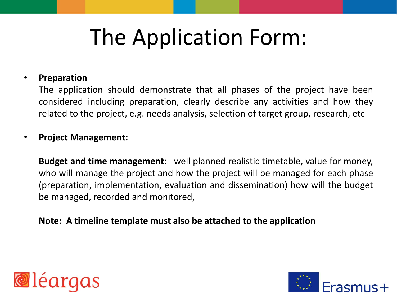#### • **Preparation**

The application should demonstrate that all phases of the project have been considered including preparation, clearly describe any activities and how they related to the project, e.g. needs analysis, selection of target group, research, etc

#### • **Project Management:**

**Budget and time management:** well planned realistic timetable, value for money, who will manage the project and how the project will be managed for each phase (preparation, implementation, evaluation and dissemination) how will the budget be managed, recorded and monitored,

#### **Note: A timeline template must also be attached to the application**



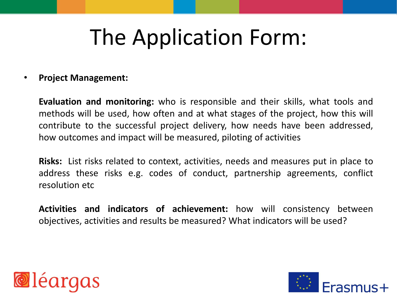#### • **Project Management:**

**Evaluation and monitoring:** who is responsible and their skills, what tools and methods will be used, how often and at what stages of the project, how this will contribute to the successful project delivery, how needs have been addressed, how outcomes and impact will be measured, piloting of activities

**Risks:** List risks related to context, activities, needs and measures put in place to address these risks e.g. codes of conduct, partnership agreements, conflict resolution etc

**Activities and indicators of achievement:** how will consistency between objectives, activities and results be measured? What indicators will be used?



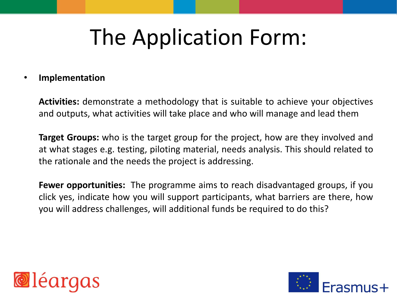#### • **Implementation**

**Activities:** demonstrate a methodology that is suitable to achieve your objectives and outputs, what activities will take place and who will manage and lead them

**Target Groups:** who is the target group for the project, how are they involved and at what stages e.g. testing, piloting material, needs analysis. This should related to the rationale and the needs the project is addressing.

**Fewer opportunities:** The programme aims to reach disadvantaged groups, if you click yes, indicate how you will support participants, what barriers are there, how you will address challenges, will additional funds be required to do this?



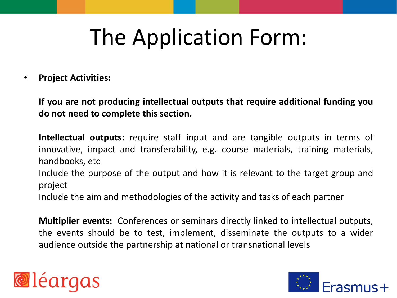• **Project Activities:**

**If you are not producing intellectual outputs that require additional funding you do not need to complete this section.**

**Intellectual outputs:** require staff input and are tangible outputs in terms of innovative, impact and transferability, e.g. course materials, training materials, handbooks, etc

Include the purpose of the output and how it is relevant to the target group and project

Include the aim and methodologies of the activity and tasks of each partner

**Multiplier events:** Conferences or seminars directly linked to intellectual outputs, the events should be to test, implement, disseminate the outputs to a wider audience outside the partnership at national or transnational levels



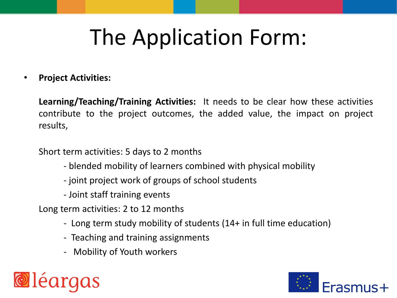• **Project Activities:**

**Learning/Teaching/Training Activities:** It needs to be clear how these activities contribute to the project outcomes, the added value, the impact on project results,

Short term activities: 5 days to 2 months

- blended mobility of learners combined with physical mobility
- joint project work of groups of school students
- Joint staff training events

Long term activities: 2 to 12 months

- Long term study mobility of students (14+ in full time education)
- Teaching and training assignments
- Mobility of Youth workers



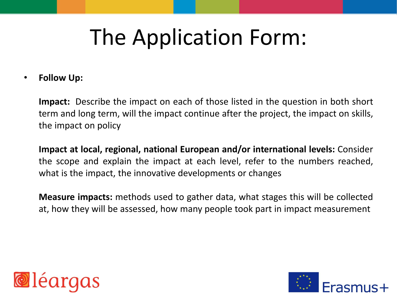• **Follow Up:**

**Impact:** Describe the impact on each of those listed in the question in both short term and long term, will the impact continue after the project, the impact on skills, the impact on policy

**Impact at local, regional, national European and/or international levels:** Consider the scope and explain the impact at each level, refer to the numbers reached, what is the impact, the innovative developments or changes

**Measure impacts:** methods used to gather data, what stages this will be collected at, how they will be assessed, how many people took part in impact measurement



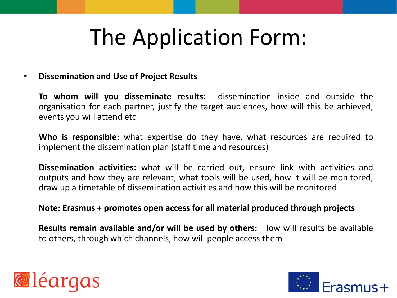#### • **Dissemination and Use of Project Results**

**To whom will you disseminate results:** dissemination inside and outside the organisation for each partner, justify the target audiences, how will this be achieved, events you will attend etc

**Who is responsible:** what expertise do they have, what resources are required to implement the dissemination plan (staff time and resources)

**Dissemination activities:** what will be carried out, ensure link with activities and outputs and how they are relevant, what tools will be used, how it will be monitored, draw up a timetable of dissemination activities and how this will be monitored

#### **Note: Erasmus + promotes open access for all material produced through projects**

**Results remain available and/or will be used by others:** How will results be available to others, through which channels, how will people access them



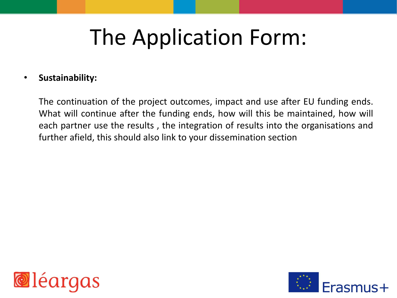#### • **Sustainability:**

The continuation of the project outcomes, impact and use after EU funding ends. What will continue after the funding ends, how will this be maintained, how will each partner use the results , the integration of results into the organisations and further afield, this should also link to your dissemination section



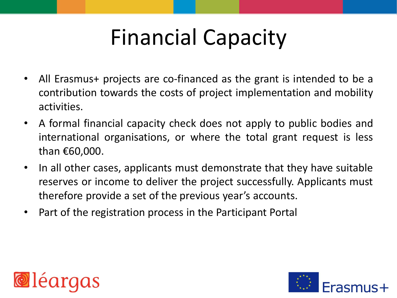# Financial Capacity

- All Erasmus+ projects are co-financed as the grant is intended to be a contribution towards the costs of project implementation and mobility activities.
- A formal financial capacity check does not apply to public bodies and international organisations, or where the total grant request is less than €60,000.
- In all other cases, applicants must demonstrate that they have suitable reserves or income to deliver the project successfully. Applicants must therefore provide a set of the previous year's accounts.
- Part of the registration process in the Participant Portal



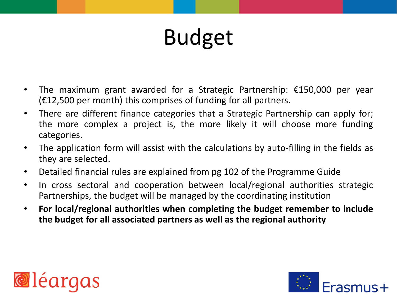- The maximum grant awarded for a Strategic Partnership: €150,000 per year  $(£12,500$  per month) this comprises of funding for all partners.
- There are different finance categories that a Strategic Partnership can apply for; the more complex a project is, the more likely it will choose more funding categories.
- The application form will assist with the calculations by auto-filling in the fields as they are selected.
- Detailed financial rules are explained from pg 102 of the Programme Guide
- In cross sectoral and cooperation between local/regional authorities strategic Partnerships, the budget will be managed by the coordinating institution
- **For local/regional authorities when completing the budget remember to include the budget for all associated partners as well as the regional authority**



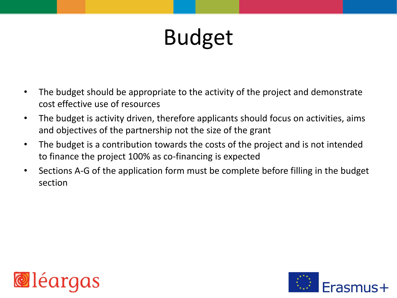- The budget should be appropriate to the activity of the project and demonstrate cost effective use of resources
- The budget is activity driven, therefore applicants should focus on activities, aims and objectives of the partnership not the size of the grant
- The budget is a contribution towards the costs of the project and is not intended to finance the project 100% as co-financing is expected
- Sections A-G of the application form must be complete before filling in the budget section



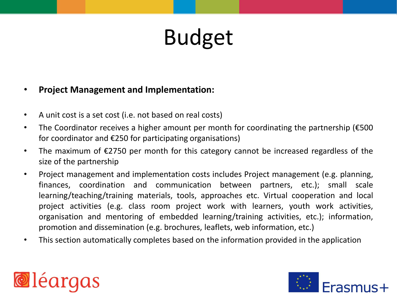#### • **Project Management and Implementation:**

- A unit cost is a set cost (i.e. not based on real costs)
- The Coordinator receives a higher amount per month for coordinating the partnership (€500 for coordinator and €250 for participating organisations)
- The maximum of €2750 per month for this category cannot be increased regardless of the size of the partnership
- Project management and implementation costs includes Project management (e.g. planning, finances, coordination and communication between partners, etc.); small scale learning/teaching/training materials, tools, approaches etc. Virtual cooperation and local project activities (e.g. class room project work with learners, youth work activities, organisation and mentoring of embedded learning/training activities, etc.); information, promotion and dissemination (e.g. brochures, leaflets, web information, etc.)
- This section automatically completes based on the information provided in the application



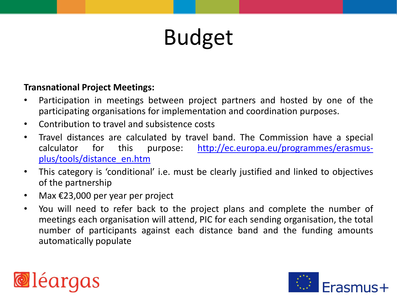#### **Transnational Project Meetings:**

- Participation in meetings between project partners and hosted by one of the participating organisations for implementation and coordination purposes.
- Contribution to travel and subsistence costs
- Travel distances are calculated by travel band. The Commission have a special calculator for this purpose: [http://ec.europa.eu/programmes/erasmus](http://ec.europa.eu/programmes/erasmus-plus/tools/distance_en.htm)[plus/tools/distance\\_en.htm](http://ec.europa.eu/programmes/erasmus-plus/tools/distance_en.htm)
- This category is 'conditional' i.e. must be clearly justified and linked to objectives of the partnership
- Max €23,000 per year per project
- You will need to refer back to the project plans and complete the number of meetings each organisation will attend, PIC for each sending organisation, the total number of participants against each distance band and the funding amounts automatically populate



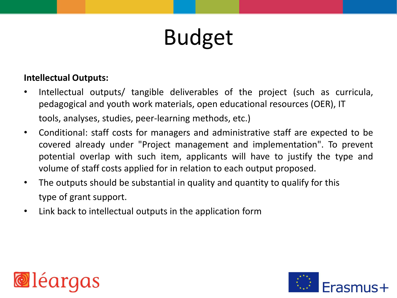#### **Intellectual Outputs:**

- Intellectual outputs/ tangible deliverables of the project (such as curricula, pedagogical and youth work materials, open educational resources (OER), IT tools, analyses, studies, peer-learning methods, etc.)
- Conditional: staff costs for managers and administrative staff are expected to be covered already under "Project management and implementation". To prevent potential overlap with such item, applicants will have to justify the type and volume of staff costs applied for in relation to each output proposed.
- The outputs should be substantial in quality and quantity to qualify for this type of grant support.
- Link back to intellectual outputs in the application form



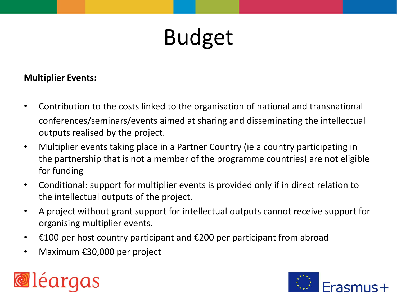#### **Multiplier Events:**

- Contribution to the costs linked to the organisation of national and transnational conferences/seminars/events aimed at sharing and disseminating the intellectual outputs realised by the project.
- Multiplier events taking place in a Partner Country (ie a country participating in the partnership that is not a member of the programme countries) are not eligible for funding
- Conditional: support for multiplier events is provided only if in direct relation to the intellectual outputs of the project.
- A project without grant support for intellectual outputs cannot receive support for organising multiplier events.
- $\epsilon$ 100 per host country participant and  $\epsilon$ 200 per participant from abroad
- Maximum €30,000 per project



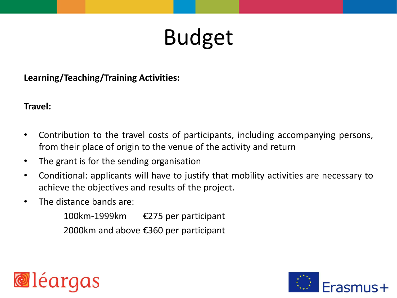**Learning/Teaching/Training Activities:**

#### **Travel:**

- Contribution to the travel costs of participants, including accompanying persons, from their place of origin to the venue of the activity and return
- The grant is for the sending organisation
- Conditional: applicants will have to justify that mobility activities are necessary to achieve the objectives and results of the project.
- The distance bands are:

100km-1999km €275 per participant 2000km and above €360 per participant

**@léarq** 

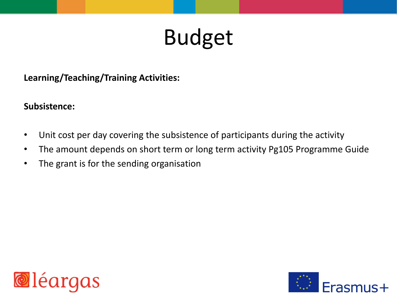**Learning/Teaching/Training Activities:**

#### **Subsistence:**

- Unit cost per day covering the subsistence of participants during the activity
- The amount depends on short term or long term activity Pg105 Programme Guide
- The grant is for the sending organisation



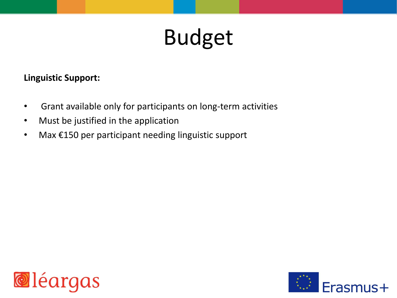#### **Linguistic Support:**

- Grant available only for participants on long-term activities
- Must be justified in the application
- Max €150 per participant needing linguistic support



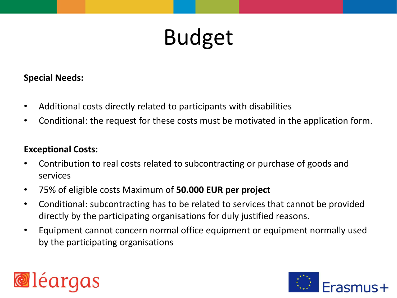#### **Special Needs:**

- Additional costs directly related to participants with disabilities
- Conditional: the request for these costs must be motivated in the application form.

#### **Exceptional Costs:**

- Contribution to real costs related to subcontracting or purchase of goods and services
- 75% of eligible costs Maximum of **50.000 EUR per project**
- Conditional: subcontracting has to be related to services that cannot be provided directly by the participating organisations for duly justified reasons.
- Equipment cannot concern normal office equipment or equipment normally used by the participating organisations



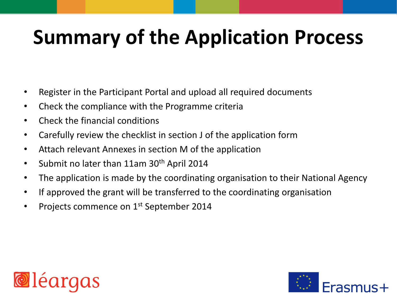### **Summary of the Application Process**

- Register in the Participant Portal and upload all required documents
- Check the compliance with the Programme criteria
- Check the financial conditions
- Carefully review the checklist in section J of the application form
- Attach relevant Annexes in section M of the application
- Submit no later than 11am 30<sup>th</sup> April 2014
- The application is made by the coordinating organisation to their National Agency
- If approved the grant will be transferred to the coordinating organisation
- Projects commence on 1<sup>st</sup> September 2014



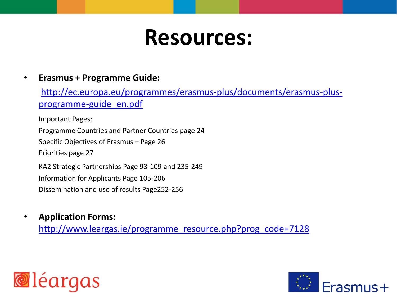### **Resources:**

#### • **Erasmus + Programme Guide:**

[http://ec.europa.eu/programmes/erasmus-plus/documents/erasmus-plus](http://ec.europa.eu/programmes/erasmus-plus/documents/erasmus-plus-programme-guide_en.pdf)[programme-guide\\_en.pdf](http://ec.europa.eu/programmes/erasmus-plus/documents/erasmus-plus-programme-guide_en.pdf)

Important Pages:

Programme Countries and Partner Countries page 24 Specific Objectives of Erasmus + Page 26 Priorities page 27

KA2 Strategic Partnerships Page 93-109 and 235-249 Information for Applicants Page 105-206 Dissemination and use of results Page252-256

• **Application Forms:** [http://www.leargas.ie/programme\\_resource.php?prog\\_code=7128](http://www.leargas.ie/programme_resource.php?prog_code=7128)